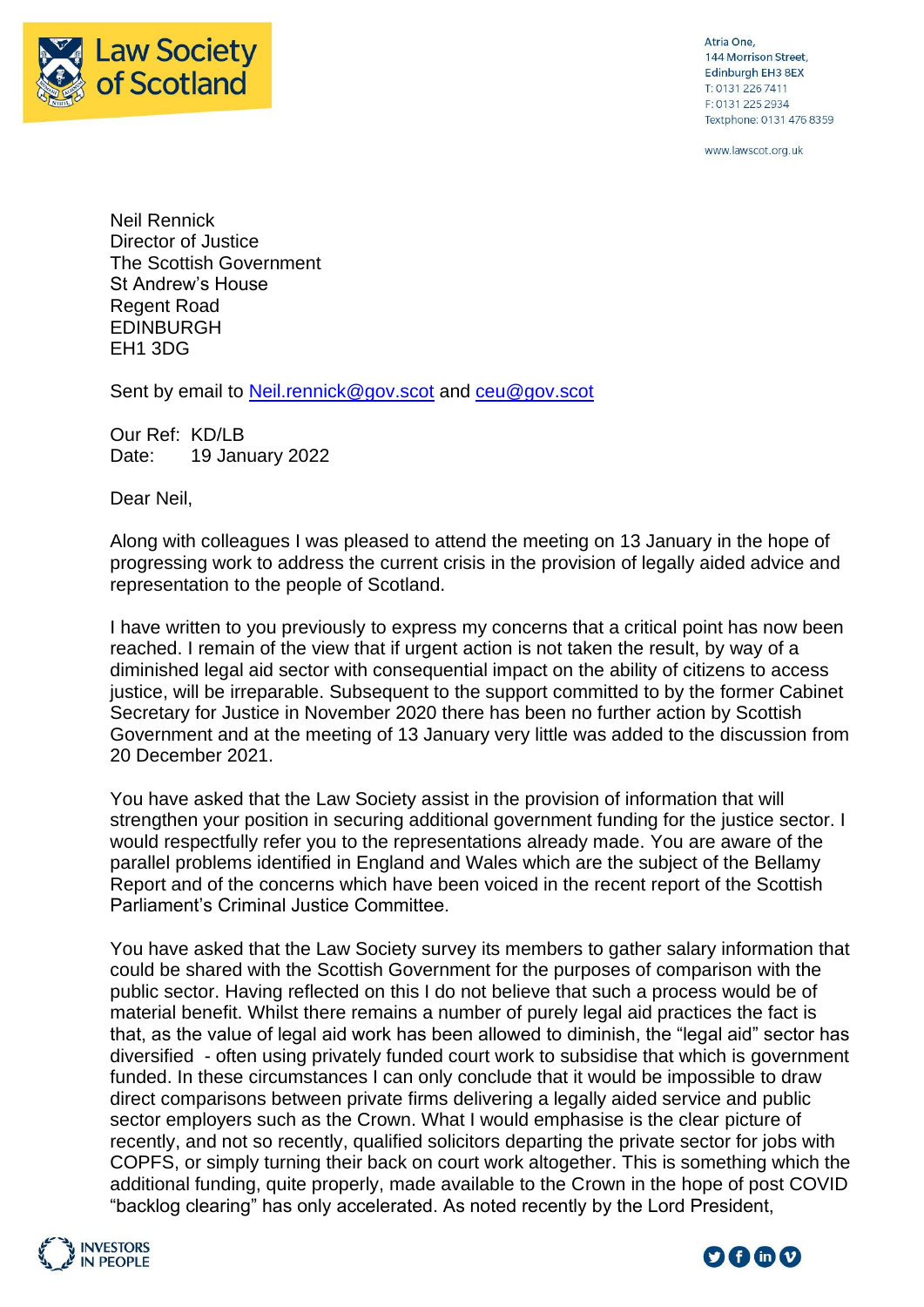

Atria One, 144 Morrison Street, Edinburgh EH3 8EX T: 0131 226 7411 F: 0131 225 2934 Textphone: 0131 476 8359

www.lawscot.org.uk

Neil Rennick Director of Justice The Scottish Government St Andrew's House Regent Road EDINBURGH EH1 3DG

Sent by email to [Neil.rennick@gov.scot](mailto:Neil.rennick@gov.scot) and [ceu@gov.scot](mailto:ceu@gov.scot)

Our Ref: KD/LB Date: 19 January 2022

Dear Neil,

Along with colleagues I was pleased to attend the meeting on 13 January in the hope of progressing work to address the current crisis in the provision of legally aided advice and representation to the people of Scotland.

I have written to you previously to express my concerns that a critical point has now been reached. I remain of the view that if urgent action is not taken the result, by way of a diminished legal aid sector with consequential impact on the ability of citizens to access justice, will be irreparable. Subsequent to the support committed to by the former Cabinet Secretary for Justice in November 2020 there has been no further action by Scottish Government and at the meeting of 13 January very little was added to the discussion from 20 December 2021.

You have asked that the Law Society assist in the provision of information that will strengthen your position in securing additional government funding for the justice sector. I would respectfully refer you to the representations already made. You are aware of the parallel problems identified in England and Wales which are the subject of the Bellamy Report and of the concerns which have been voiced in the recent report of the Scottish Parliament's Criminal Justice Committee.

You have asked that the Law Society survey its members to gather salary information that could be shared with the Scottish Government for the purposes of comparison with the public sector. Having reflected on this I do not believe that such a process would be of material benefit. Whilst there remains a number of purely legal aid practices the fact is that, as the value of legal aid work has been allowed to diminish, the "legal aid" sector has diversified - often using privately funded court work to subsidise that which is government funded. In these circumstances I can only conclude that it would be impossible to draw direct comparisons between private firms delivering a legally aided service and public sector employers such as the Crown. What I would emphasise is the clear picture of recently, and not so recently, qualified solicitors departing the private sector for jobs with COPFS, or simply turning their back on court work altogether. This is something which the additional funding, quite properly, made available to the Crown in the hope of post COVID "backlog clearing" has only accelerated. As noted recently by the Lord President,



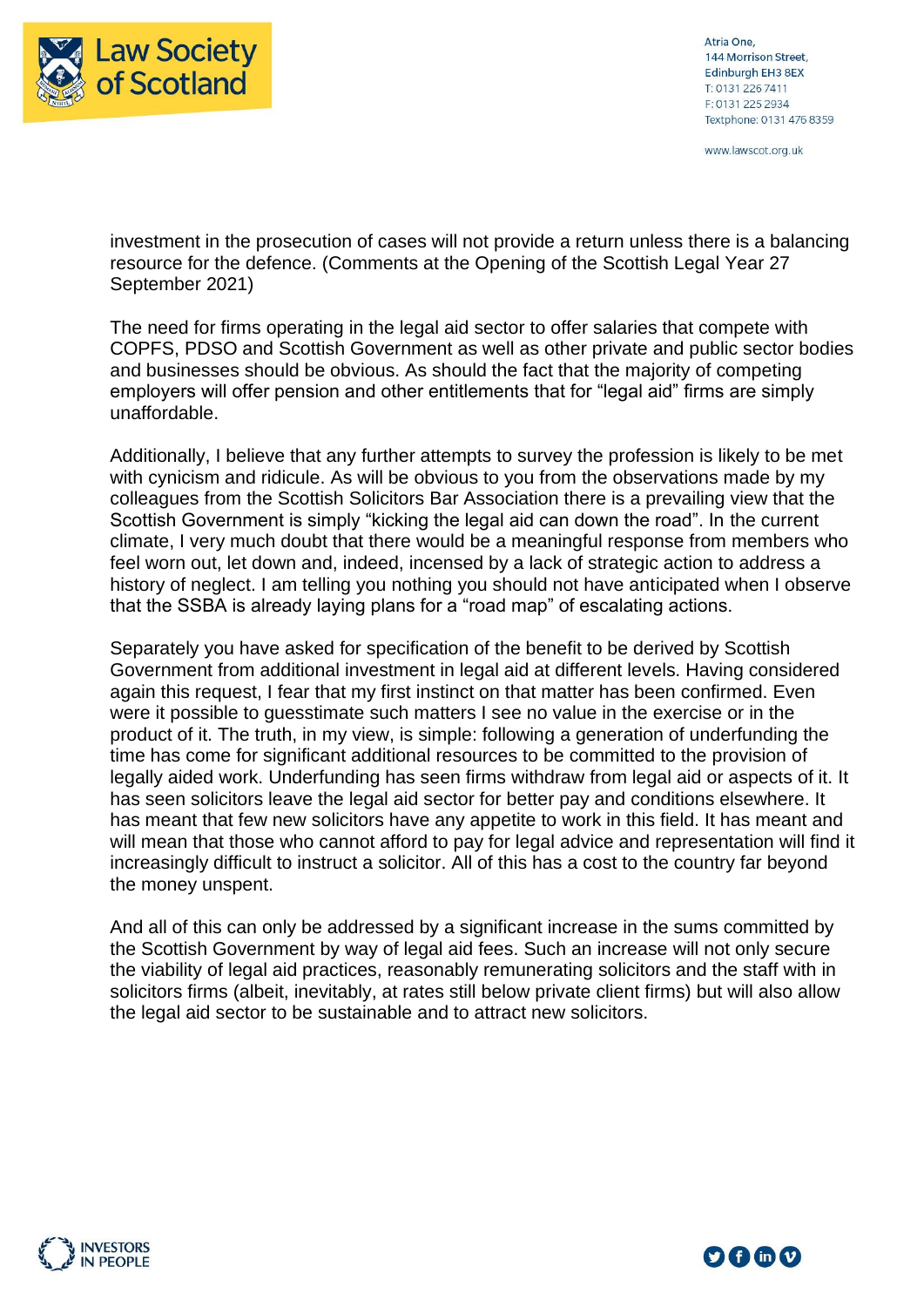

Atria One, 144 Morrison Street, Edinburgh EH3 8EX T: 0131 226 7411 F: 0131 225 2934 Textphone: 0131 476 8359

www.lawscot.org.uk

investment in the prosecution of cases will not provide a return unless there is a balancing resource for the defence. (Comments at the Opening of the Scottish Legal Year 27 September 2021)

The need for firms operating in the legal aid sector to offer salaries that compete with COPFS, PDSO and Scottish Government as well as other private and public sector bodies and businesses should be obvious. As should the fact that the majority of competing employers will offer pension and other entitlements that for "legal aid" firms are simply unaffordable.

Additionally, I believe that any further attempts to survey the profession is likely to be met with cynicism and ridicule. As will be obvious to you from the observations made by my colleagues from the Scottish Solicitors Bar Association there is a prevailing view that the Scottish Government is simply "kicking the legal aid can down the road". In the current climate, I very much doubt that there would be a meaningful response from members who feel worn out, let down and, indeed, incensed by a lack of strategic action to address a history of neglect. I am telling you nothing you should not have anticipated when I observe that the SSBA is already laying plans for a "road map" of escalating actions.

Separately you have asked for specification of the benefit to be derived by Scottish Government from additional investment in legal aid at different levels. Having considered again this request, I fear that my first instinct on that matter has been confirmed. Even were it possible to guesstimate such matters I see no value in the exercise or in the product of it. The truth, in my view, is simple: following a generation of underfunding the time has come for significant additional resources to be committed to the provision of legally aided work. Underfunding has seen firms withdraw from legal aid or aspects of it. It has seen solicitors leave the legal aid sector for better pay and conditions elsewhere. It has meant that few new solicitors have any appetite to work in this field. It has meant and will mean that those who cannot afford to pay for legal advice and representation will find it increasingly difficult to instruct a solicitor. All of this has a cost to the country far beyond the money unspent.

And all of this can only be addressed by a significant increase in the sums committed by the Scottish Government by way of legal aid fees. Such an increase will not only secure the viability of legal aid practices, reasonably remunerating solicitors and the staff with in solicitors firms (albeit, inevitably, at rates still below private client firms) but will also allow the legal aid sector to be sustainable and to attract new solicitors.